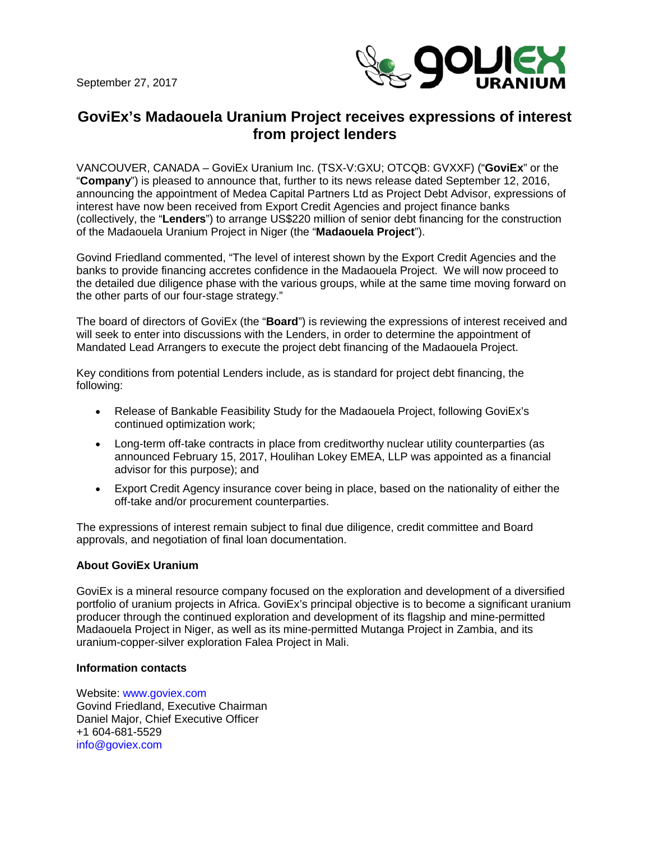September 27, 2017



## **GoviEx's Madaouela Uranium Project receives expressions of interest from project lenders**

VANCOUVER, CANADA – GoviEx Uranium Inc. (TSX-V:GXU; OTCQB: GVXXF) ("**GoviEx**" or the "**Company**") is pleased to announce that, further to its news release dated September 12, 2016, announcing the appointment of Medea Capital Partners Ltd as Project Debt Advisor, expressions of interest have now been received from Export Credit Agencies and project finance banks (collectively, the "**Lenders**") to arrange US\$220 million of senior debt financing for the construction of the Madaouela Uranium Project in Niger (the "**Madaouela Project**").

Govind Friedland commented, "The level of interest shown by the Export Credit Agencies and the banks to provide financing accretes confidence in the Madaouela Project. We will now proceed to the detailed due diligence phase with the various groups, while at the same time moving forward on the other parts of our four-stage strategy."

The board of directors of GoviEx (the "**Board**") is reviewing the expressions of interest received and will seek to enter into discussions with the Lenders, in order to determine the appointment of Mandated Lead Arrangers to execute the project debt financing of the Madaouela Project.

Key conditions from potential Lenders include, as is standard for project debt financing, the following:

- Release of Bankable Feasibility Study for the Madaouela Project, following GoviEx's continued optimization work;
- Long-term off-take contracts in place from creditworthy nuclear utility counterparties (as announced February 15, 2017, Houlihan Lokey EMEA, LLP was appointed as a financial advisor for this purpose); and
- Export Credit Agency insurance cover being in place, based on the nationality of either the off-take and/or procurement counterparties.

The expressions of interest remain subject to final due diligence, credit committee and Board approvals, and negotiation of final loan documentation.

## **About GoviEx Uranium**

GoviEx is a mineral resource company focused on the exploration and development of a diversified portfolio of uranium projects in Africa. GoviEx's principal objective is to become a significant uranium producer through the continued exploration and development of its flagship and mine-permitted Madaouela Project in Niger, as well as its mine-permitted Mutanga Project in Zambia, and its uranium-copper-silver exploration Falea Project in Mali.

## **Information contacts**

Website: www.goviex.com Govind Friedland, Executive Chairman Daniel Major, Chief Executive Officer +1 604-681-5529 info@goviex.com